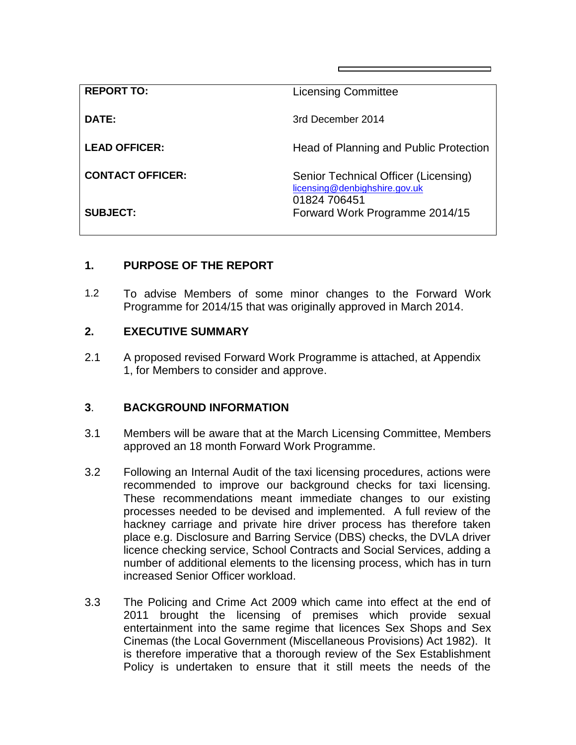| <b>REPORT TO:</b>       | <b>Licensing Committee</b>                                                            |
|-------------------------|---------------------------------------------------------------------------------------|
| DATE:                   | 3rd December 2014                                                                     |
| <b>LEAD OFFICER:</b>    | Head of Planning and Public Protection                                                |
| <b>CONTACT OFFICER:</b> | Senior Technical Officer (Licensing)<br>licensing@denbighshire.gov.uk<br>01824 706451 |
| <b>SUBJECT:</b>         | Forward Work Programme 2014/15                                                        |

## **1. PURPOSE OF THE REPORT**

1.2 To advise Members of some minor changes to the Forward Work Programme for 2014/15 that was originally approved in March 2014.

## **2. EXECUTIVE SUMMARY**

2.1 A proposed revised Forward Work Programme is attached, at Appendix 1, for Members to consider and approve.

## **3**. **BACKGROUND INFORMATION**

- 3.1 Members will be aware that at the March Licensing Committee, Members approved an 18 month Forward Work Programme.
- 3.2 Following an Internal Audit of the taxi licensing procedures, actions were recommended to improve our background checks for taxi licensing. These recommendations meant immediate changes to our existing processes needed to be devised and implemented. A full review of the hackney carriage and private hire driver process has therefore taken place e.g. Disclosure and Barring Service (DBS) checks, the DVLA driver licence checking service, School Contracts and Social Services, adding a number of additional elements to the licensing process, which has in turn increased Senior Officer workload.
- 3.3 The Policing and Crime Act 2009 which came into effect at the end of 2011 brought the licensing of premises which provide sexual entertainment into the same regime that licences Sex Shops and Sex Cinemas (the Local Government (Miscellaneous Provisions) Act 1982). It is therefore imperative that a thorough review of the Sex Establishment Policy is undertaken to ensure that it still meets the needs of the